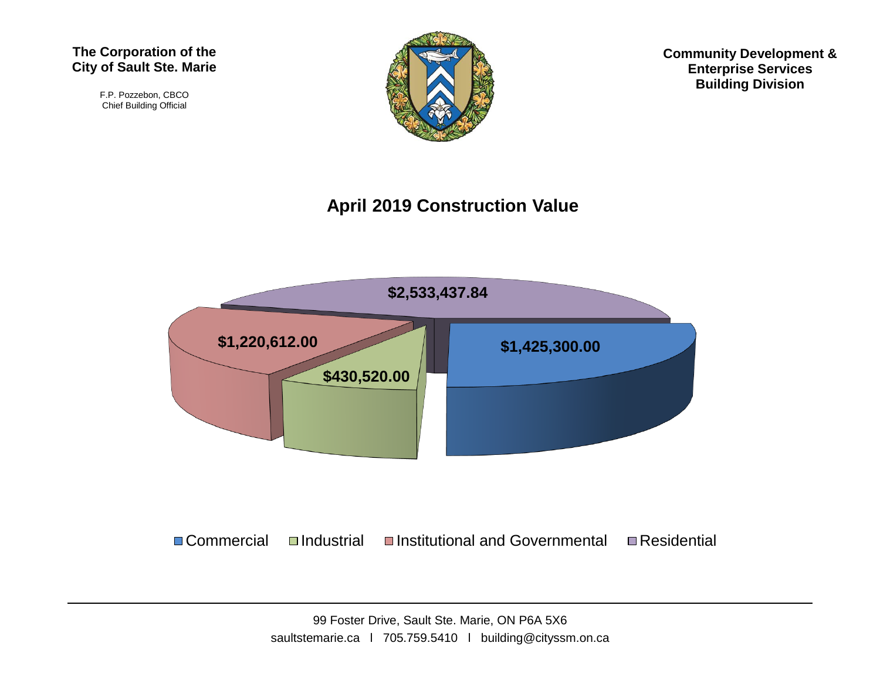#### **The Corporation of the City of Sault Ste. Marie**

F.P. Pozzebon, CBCO Chief Building Official



**Community Development & Enterprise Services Building Division**

#### **April 2019 Construction Value**



 $\Box$  Commercial  $\Box$ Industrial  $\Box$ Institutional and Governmental  $\Box$  Residential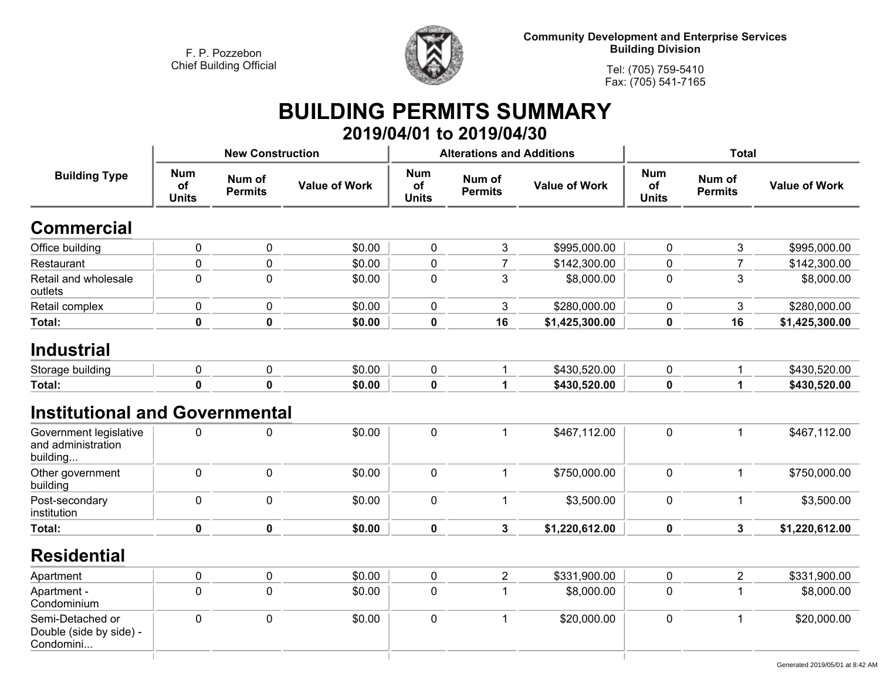$\overline{1}$ 



**Community Development and Enterprise Services Building Division**

**Tel: (705) 759-5410Fax: (705) 541-7165**

 $\vert$ 

# **BUILDING PERMITS SUMMARY**

|                                                          |                                  |                          |                      |                                  | 2019/04/01 to 2019/04/30         |                      |                                  |                          |                      |
|----------------------------------------------------------|----------------------------------|--------------------------|----------------------|----------------------------------|----------------------------------|----------------------|----------------------------------|--------------------------|----------------------|
|                                                          |                                  | <b>New Construction</b>  |                      |                                  | <b>Alterations and Additions</b> |                      |                                  | <b>Total</b>             |                      |
| <b>Building Type</b>                                     | <b>Num</b><br>of<br><b>Units</b> | Num of<br><b>Permits</b> | <b>Value of Work</b> | <b>Num</b><br>of<br><b>Units</b> | Num of<br><b>Permits</b>         | <b>Value of Work</b> | <b>Num</b><br>of<br><b>Units</b> | Num of<br><b>Permits</b> | <b>Value of Work</b> |
| <b>Commercial</b>                                        |                                  |                          |                      |                                  |                                  |                      |                                  |                          |                      |
| Office building                                          | 0                                | 0                        | \$0.00               | $\pmb{0}$                        | 3                                | \$995,000.00         | 0                                | 3                        | \$995,000.00         |
| Restaurant                                               | $\mathbf 0$                      | $\mathbf 0$              | \$0.00               | 0                                | $\overline{7}$                   | \$142,300.00         | 0                                | $\overline{7}$           | \$142,300.00         |
| Retail and wholesale<br>outlets                          | $\mathbf 0$                      | $\mathbf 0$              | \$0.00               | $\mathbf 0$                      | 3                                | \$8,000.00           | 0                                | 3                        | \$8,000.00           |
| Retail complex                                           | $\mathbf 0$                      | 0                        | \$0.00               | 0                                | 3                                | \$280,000.00         | 0                                | 3                        | \$280,000.00         |
| Total:                                                   | $\mathbf 0$                      | $\mathbf 0$              | \$0.00               | $\mathbf 0$                      | 16                               | \$1,425,300.00       | 0                                | 16                       | \$1,425,300.00       |
| <b>Industrial</b>                                        |                                  |                          |                      |                                  |                                  |                      |                                  |                          |                      |
| Storage building                                         | $\mathbf 0$                      | $\pmb{0}$                | \$0.00               | $\pmb{0}$                        | $\mathbf{1}$                     | \$430,520.00         | 0                                | $\mathbf{1}$             | \$430,520.00         |
| Total:                                                   | $\mathbf 0$                      | $\mathbf 0$              | \$0.00               | $\mathbf 0$                      | $\mathbf 1$                      | \$430,520.00         | $\mathbf 0$                      | $\blacktriangleleft$     | \$430,520.00         |
| <b>Institutional and Governmental</b>                    |                                  |                          |                      |                                  |                                  |                      |                                  |                          |                      |
| Government legislative<br>and administration<br>building | $\mathbf 0$                      | $\mathbf 0$              | \$0.00               | $\mathbf 0$                      | $\mathbf{1}$                     | \$467,112.00         | $\mathbf 0$                      | $\mathbf{1}$             | \$467,112.00         |
| Other government<br>building                             | $\mathbf 0$                      | $\mathbf 0$              | \$0.00               | $\pmb{0}$                        | 1                                | \$750,000.00         | $\pmb{0}$                        | $\mathbf{1}$             | \$750,000.00         |
| Post-secondary<br>institution                            | $\mathbf 0$                      | $\mathbf 0$              | \$0.00               | $\pmb{0}$                        | 1                                | \$3,500.00           | 0                                | $\mathbf{1}$             | \$3,500.00           |
| Total:                                                   | $\mathbf 0$                      | $\mathbf 0$              | \$0.00               | $\mathbf 0$                      | $\mathbf{3}$                     | \$1,220,612.00       | $\mathbf 0$                      | $\mathbf{3}$             | \$1,220,612.00       |
| <b>Residential</b>                                       |                                  |                          |                      |                                  |                                  |                      |                                  |                          |                      |
| Apartment                                                | $\pmb{0}$                        | $\pmb{0}$                | \$0.00               | $\pmb{0}$                        | $\overline{c}$                   | \$331,900.00         | $\pmb{0}$                        | $\overline{2}$           | \$331,900.00         |
| Apartment -<br>Condominium                               | $\mathbf 0$                      | $\mathbf 0$              | \$0.00               | 0                                | 1                                | \$8,000.00           | 0                                | $\mathbf{1}$             | \$8,000.00           |
| Semi-Detached or<br>Double (side by side) -<br>Condomini | $\mathbf 0$                      | $\mathbf 0$              | \$0.00               | $\mathbf 0$                      | 1                                | \$20,000.00          | 0                                | $\mathbf{1}$             | \$20,000.00          |

 $\mathbb{R}$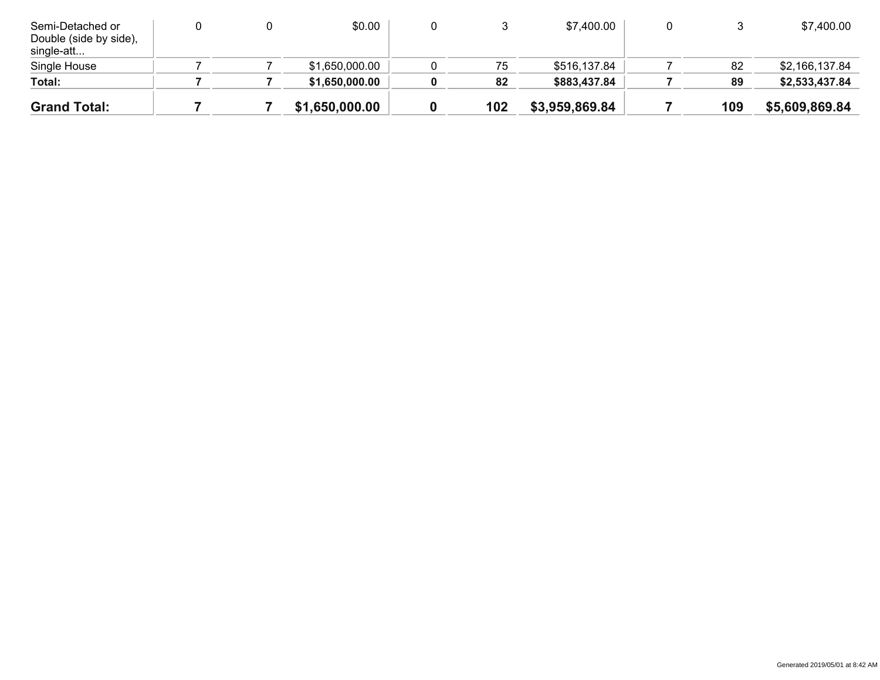| Semi-Detached or<br>Double (side by side),<br>single-att |  | \$0.00         |     | \$7,400.00     |     | \$7,400.00     |
|----------------------------------------------------------|--|----------------|-----|----------------|-----|----------------|
| Single House                                             |  | \$1,650,000.00 | 75  | \$516,137.84   | 82  | \$2,166,137.84 |
| Total:                                                   |  | \$1,650,000.00 | 82  | \$883,437.84   | 89  | \$2,533,437.84 |
| <b>Grand Total:</b>                                      |  | \$1,650,000.00 | 102 | \$3,959,869.84 | 109 | \$5,609,869.84 |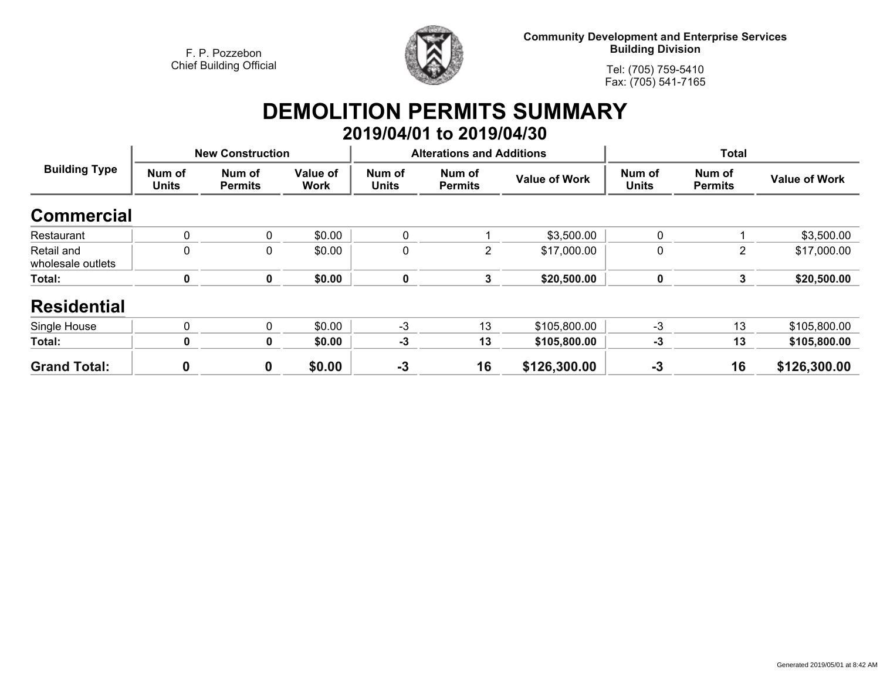

**Community Development and Enterprise Services Building Division**

**Tel: (705) 759-5410Fax: (705) 541-7165**

#### **DEMOLITION PERMITS SUMMARY 2019/04/01 to 2019/04/30**

| <b>Building Type</b>            |                        | <b>New Construction</b>  |                         |                        | <b>Alterations and Additions</b> |                      |                        |                          |                      |
|---------------------------------|------------------------|--------------------------|-------------------------|------------------------|----------------------------------|----------------------|------------------------|--------------------------|----------------------|
|                                 | Num of<br><b>Units</b> | Num of<br><b>Permits</b> | Value of<br><b>Work</b> | Num of<br><b>Units</b> | Num of<br><b>Permits</b>         | <b>Value of Work</b> | Num of<br><b>Units</b> | Num of<br><b>Permits</b> | <b>Value of Work</b> |
| <b>Commercial</b>               |                        |                          |                         |                        |                                  |                      |                        |                          |                      |
| Restaurant                      | 0                      | 0                        | \$0.00                  | 0                      |                                  | \$3,500.00           | 0                      |                          | \$3,500.00           |
| Retail and<br>wholesale outlets | 0                      | 0                        | \$0.00                  | 0                      | 2                                | \$17,000.00          | $\mathbf 0$            | $\overline{2}$           | \$17,000.00          |
| Total:                          | 0                      | $\pmb{0}$                | \$0.00                  | $\mathbf 0$            | 3                                | \$20,500.00          | $\pmb{0}$              | 3                        | \$20,500.00          |
| <b>Residential</b>              |                        |                          |                         |                        |                                  |                      |                        |                          |                      |
| Single House                    | 0                      | $\Omega$                 | \$0.00                  | $-3$                   | 13                               | \$105,800.00         | $-3$                   | 13                       | \$105,800.00         |
| Total:                          | 0                      | 0                        | \$0.00                  | $-3$                   | 13                               | \$105,800.00         | $-3$                   | 13                       | \$105,800.00         |
| <b>Grand Total:</b>             | 0                      | 0                        | \$0.00                  | $-3$                   | 16                               | \$126,300.00         | $-3$                   | 16                       | \$126,300.00         |